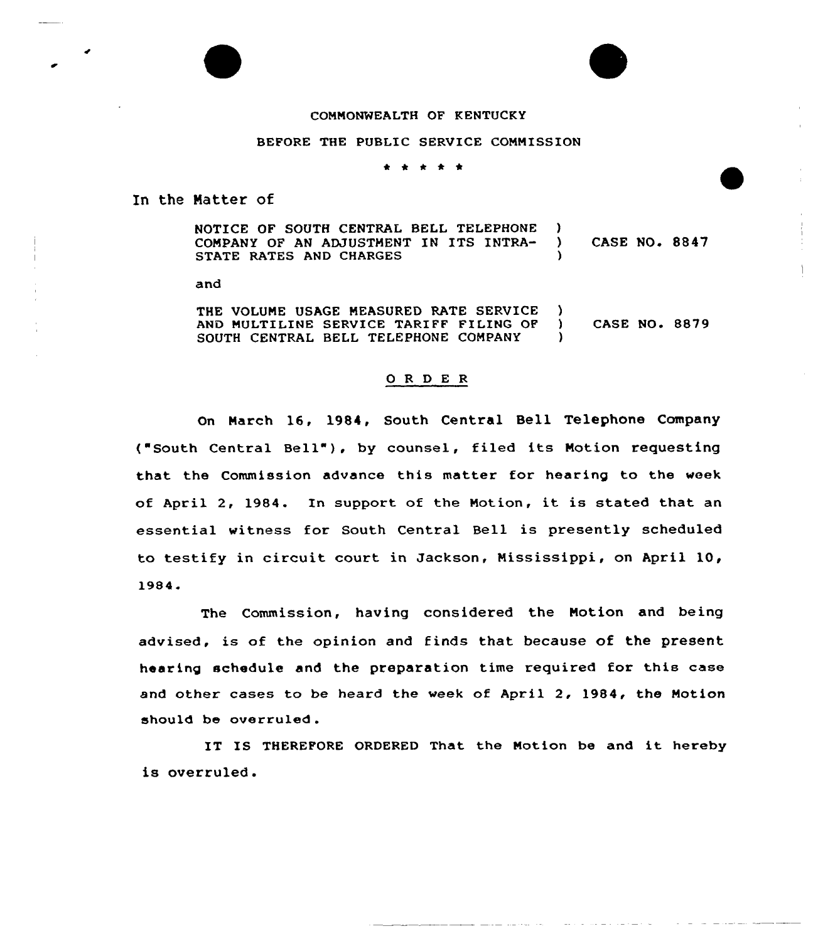## COMMONWEALTH OF KENTUCKY

## BEFORE THE PUBLIC SERVICE COMMISSION

\* \* 0 \*

In the Matter of

NOTICE OF SOUTH CENTRAL BELL TELEPHONE COMPANY OF AN ADJUSTMENT IN ITS INTRA-STATE RATES AND CHARGES  $\left\{ \begin{array}{c} 1 \\ 2 \end{array} \right\}$ CASE NO. 8847  $\lambda$ 

and

THE VOLUNE USAGE MEASURED RATE SERVICE AND MULTILINE SERVICE TARIFF FILING OF SOUTH CENTRAL BELL TELEPHONE COMPANY  $\left\{ \right\}$ ) CASE NO. 8879 )

## 0 R <sup>D</sup> E <sup>R</sup>

On March 16, 1984, South Central Bell Telephone Company ("South Central Bell"), by counsel, filed its Motion requesting that the Commission advance this matter for hearing to the week of April 2, 1984. In support of the Notion, it is stated that an essential witness for South Central Bell is presently scheduled to testify in circuit court in Jackson, Nississippi, on April 10, 1984.

The Commission, having considered the Motion and being advised, is of the opinion and finds that because of the present hearing schedule and the preparation time required for this case and other cases to be heard the week of April 2, 1984, the Motion should be overruled.

IT IS THEREFORE ORDERED That the Motion be and it hereby is overruled.